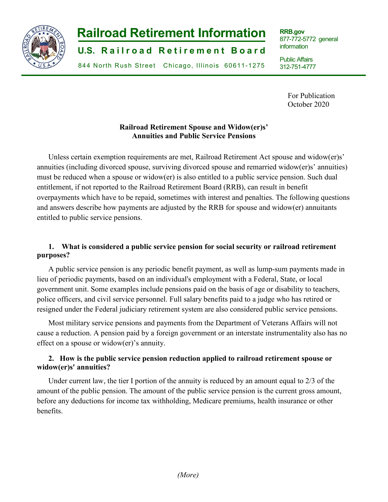

# **-1- Railroad Retirement Information**

**U.S. Railroad Retirement Board** 

844 North Rush Street Chicago, Illinois 60611-1275

**RRB.gov** 877-772-5772 general information

Public Affairs 312-751-4777

> For Publication October 2020

j

### **Railroad Retirement Spouse and Widow(er)s' Annuities and Public Service Pensions**

Unless certain exemption requirements are met, Railroad Retirement Act spouse and widow(er)s' annuities (including divorced spouse, surviving divorced spouse and remarried widow(er)s' annuities) must be reduced when a spouse or widow(er) is also entitled to a public service pension. Such dual entitlement, if not reported to the Railroad Retirement Board (RRB), can result in benefit overpayments which have to be repaid, sometimes with interest and penalties. The following questions and answers describe how payments are adjusted by the RRB for spouse and widow(er) annuitants entitled to public service pensions.

# **1. What is considered a public service pension for social security or railroad retirement purposes?**

A public service pension is any periodic benefit payment, as well as lump-sum payments made in lieu of periodic payments, based on an individual's employment with a Federal, State, or local government unit. Some examples include pensions paid on the basis of age or disability to teachers, police officers, and civil service personnel. Full salary benefits paid to a judge who has retired or resigned under the Federal judiciary retirement system are also considered public service pensions.

Most military service pensions and payments from the Department of Veterans Affairs will not cause a reduction. A pension paid by a foreign government or an interstate instrumentality also has no effect on a spouse or widow(er)'s annuity.

# **2. How is the public service pension reduction applied to railroad retirement spouse or widow(er)s' annuities?**

Under current law, the tier I portion of the annuity is reduced by an amount equal to 2/3 of the amount of the public pension. The amount of the public service pension is the current gross amount, before any deductions for income tax withholding, Medicare premiums, health insurance or other benefits.